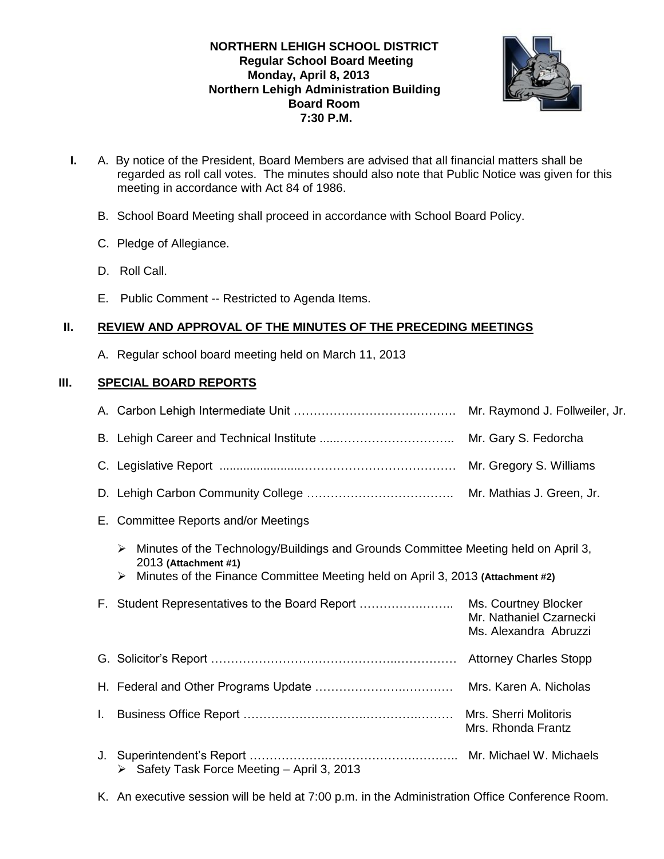# **NORTHERN LEHIGH SCHOOL DISTRICT Regular School Board Meeting Monday, April 8, 2013 Northern Lehigh Administration Building Board Room 7:30 P.M.**



- **I.** A. By notice of the President, Board Members are advised that all financial matters shall be regarded as roll call votes. The minutes should also note that Public Notice was given for this meeting in accordance with Act 84 of 1986.
	- B. School Board Meeting shall proceed in accordance with School Board Policy.
	- C. Pledge of Allegiance.
	- D. Roll Call.
	- E. Public Comment -- Restricted to Agenda Items.

# **II. REVIEW AND APPROVAL OF THE MINUTES OF THE PRECEDING MEETINGS**

A. Regular school board meeting held on March 11, 2013

# **III. SPECIAL BOARD REPORTS**

|    | Mr. Raymond J. Follweiler, Jr.                                                                                       |                                                                          |  |  |
|----|----------------------------------------------------------------------------------------------------------------------|--------------------------------------------------------------------------|--|--|
|    |                                                                                                                      | Mr. Gary S. Fedorcha                                                     |  |  |
|    |                                                                                                                      | Mr. Gregory S. Williams                                                  |  |  |
|    |                                                                                                                      |                                                                          |  |  |
|    | E. Committee Reports and/or Meetings                                                                                 |                                                                          |  |  |
|    | Minutes of the Technology/Buildings and Grounds Committee Meeting held on April 3,<br>➤<br>2013 (Attachment #1)<br>➤ |                                                                          |  |  |
|    | Minutes of the Finance Committee Meeting held on April 3, 2013 (Attachment #2)                                       |                                                                          |  |  |
|    | F. Student Representatives to the Board Report                                                                       | Ms. Courtney Blocker<br>Mr. Nathaniel Czarnecki<br>Ms. Alexandra Abruzzi |  |  |
|    |                                                                                                                      |                                                                          |  |  |
|    |                                                                                                                      | Mrs. Karen A. Nicholas                                                   |  |  |
| L. |                                                                                                                      | Mrs. Sherri Molitoris                                                    |  |  |
|    |                                                                                                                      | Mrs. Rhonda Frantz                                                       |  |  |
| J. | > Safety Task Force Meeting - April 3, 2013                                                                          |                                                                          |  |  |

K. An executive session will be held at 7:00 p.m. in the Administration Office Conference Room.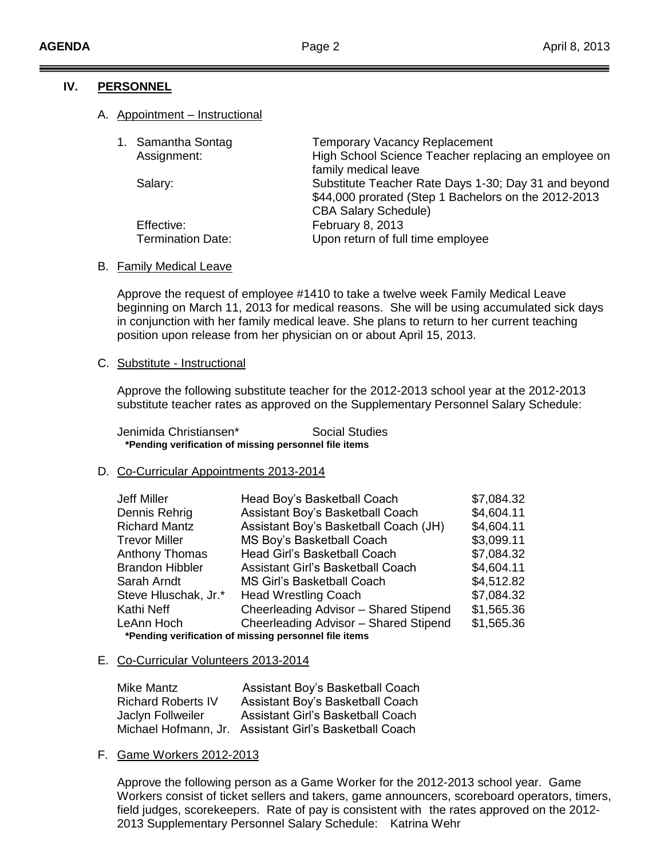#### **IV. PERSONNEL**

#### A. Appointment – Instructional

|  | 1. Samantha Sontag       | <b>Temporary Vacancy Replacement</b>                                         |
|--|--------------------------|------------------------------------------------------------------------------|
|  | Assignment:              | High School Science Teacher replacing an employee on<br>family medical leave |
|  |                          |                                                                              |
|  | Salary:                  | Substitute Teacher Rate Days 1-30; Day 31 and beyond                         |
|  |                          | \$44,000 prorated (Step 1 Bachelors on the 2012-2013                         |
|  |                          | <b>CBA Salary Schedule)</b>                                                  |
|  | Effective:               | February 8, 2013                                                             |
|  | <b>Termination Date:</b> | Upon return of full time employee                                            |
|  |                          |                                                                              |

#### B. Family Medical Leave

Approve the request of employee #1410 to take a twelve week Family Medical Leave beginning on March 11, 2013 for medical reasons. She will be using accumulated sick days in conjunction with her family medical leave. She plans to return to her current teaching position upon release from her physician on or about April 15, 2013.

#### C. Substitute - Instructional

Approve the following substitute teacher for the 2012-2013 school year at the 2012-2013 substitute teacher rates as approved on the Supplementary Personnel Salary Schedule:

Jenimida Christiansen\* Social Studies  **\*Pending verification of missing personnel file items**

# D. Co-Curricular Appointments 2013-2014

| Jeff Miller                                           | Head Boy's Basketball Coach              | \$7,084.32 |  |  |  |
|-------------------------------------------------------|------------------------------------------|------------|--|--|--|
| Dennis Rehrig                                         | Assistant Boy's Basketball Coach         | \$4,604.11 |  |  |  |
| <b>Richard Mantz</b>                                  | Assistant Boy's Basketball Coach (JH)    | \$4,604.11 |  |  |  |
| Trevor Miller                                         | MS Boy's Basketball Coach                | \$3,099.11 |  |  |  |
| Anthony Thomas                                        | Head Girl's Basketball Coach             | \$7,084.32 |  |  |  |
| <b>Brandon Hibbler</b>                                | <b>Assistant Girl's Basketball Coach</b> | \$4,604.11 |  |  |  |
| Sarah Arndt                                           | <b>MS Girl's Basketball Coach</b>        | \$4,512.82 |  |  |  |
| Steve Hluschak, Jr.*                                  | <b>Head Wrestling Coach</b>              | \$7,084.32 |  |  |  |
| Kathi Neff                                            | Cheerleading Advisor - Shared Stipend    | \$1,565.36 |  |  |  |
| LeAnn Hoch                                            | Cheerleading Advisor - Shared Stipend    | \$1,565.36 |  |  |  |
| *Pending verification of missing personnel file items |                                          |            |  |  |  |

# E. Co-Curricular Volunteers 2013-2014

| Mike Mantz                | Assistant Boy's Basketball Coach                       |
|---------------------------|--------------------------------------------------------|
| <b>Richard Roberts IV</b> | Assistant Boy's Basketball Coach                       |
| Jaclyn Follweiler         | Assistant Girl's Basketball Coach                      |
|                           | Michael Hofmann, Jr. Assistant Girl's Basketball Coach |

# F. Game Workers 2012-2013

Approve the following person as a Game Worker for the 2012-2013 school year. Game Workers consist of ticket sellers and takers, game announcers, scoreboard operators, timers, field judges, scorekeepers. Rate of pay is consistent with the rates approved on the 2012- 2013 Supplementary Personnel Salary Schedule: Katrina Wehr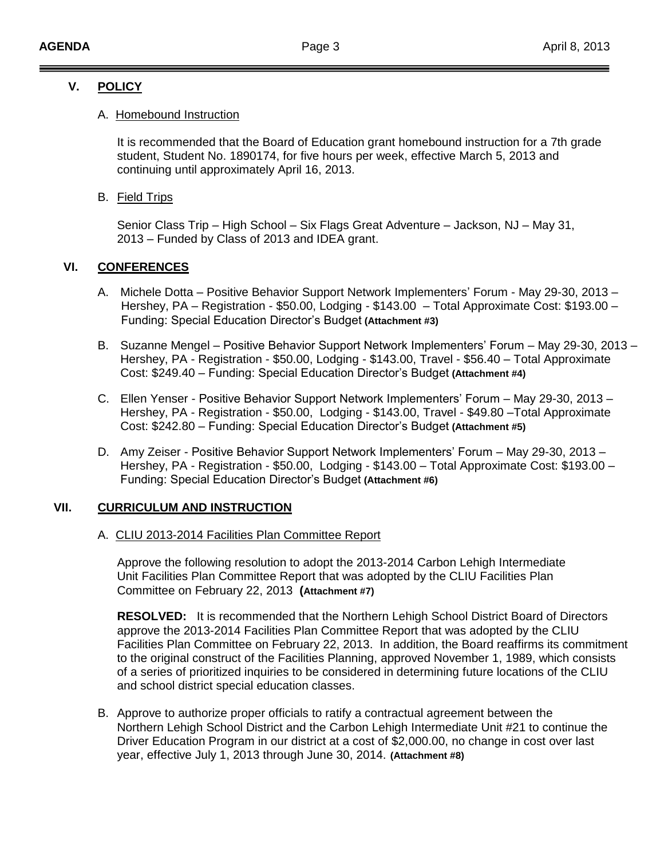# **V. POLICY**

#### A. Homebound Instruction

It is recommended that the Board of Education grant homebound instruction for a 7th grade student, Student No. 1890174, for five hours per week, effective March 5, 2013 and continuing until approximately April 16, 2013.

#### B. Field Trips

Senior Class Trip – High School – Six Flags Great Adventure – Jackson, NJ – May 31, 2013 – Funded by Class of 2013 and IDEA grant.

# **VI. CONFERENCES**

- A. Michele Dotta Positive Behavior Support Network Implementers' Forum May 29-30, 2013 Hershey, PA – Registration - \$50.00, Lodging - \$143.00 – Total Approximate Cost: \$193.00 – Funding: Special Education Director's Budget **(Attachment #3)**
- B. Suzanne Mengel Positive Behavior Support Network Implementers' Forum May 29-30, 2013 Hershey, PA - Registration - \$50.00, Lodging - \$143.00, Travel - \$56.40 – Total Approximate Cost: \$249.40 – Funding: Special Education Director's Budget **(Attachment #4)**
- C. Ellen Yenser Positive Behavior Support Network Implementers' Forum May 29-30, 2013 Hershey, PA - Registration - \$50.00, Lodging - \$143.00, Travel - \$49.80 –Total Approximate Cost: \$242.80 – Funding: Special Education Director's Budget **(Attachment #5)**
- D. Amy Zeiser Positive Behavior Support Network Implementers' Forum May 29-30, 2013 Hershey, PA - Registration - \$50.00, Lodging - \$143.00 – Total Approximate Cost: \$193.00 – Funding: Special Education Director's Budget **(Attachment #6)**

# **VII. CURRICULUM AND INSTRUCTION**

#### A. CLIU 2013-2014 Facilities Plan Committee Report

Approve the following resolution to adopt the 2013-2014 Carbon Lehigh Intermediate Unit Facilities Plan Committee Report that was adopted by the CLIU Facilities Plan Committee on February 22, 2013 **(Attachment #7)**

**RESOLVED:** It is recommended that the Northern Lehigh School District Board of Directors approve the 2013-2014 Facilities Plan Committee Report that was adopted by the CLIU Facilities Plan Committee on February 22, 2013. In addition, the Board reaffirms its commitment to the original construct of the Facilities Planning, approved November 1, 1989, which consists of a series of prioritized inquiries to be considered in determining future locations of the CLIU and school district special education classes.

B. Approve to authorize proper officials to ratify a contractual agreement between the Northern Lehigh School District and the Carbon Lehigh Intermediate Unit #21 to continue the Driver Education Program in our district at a cost of \$2,000.00, no change in cost over last year, effective July 1, 2013 through June 30, 2014. **(Attachment #8)**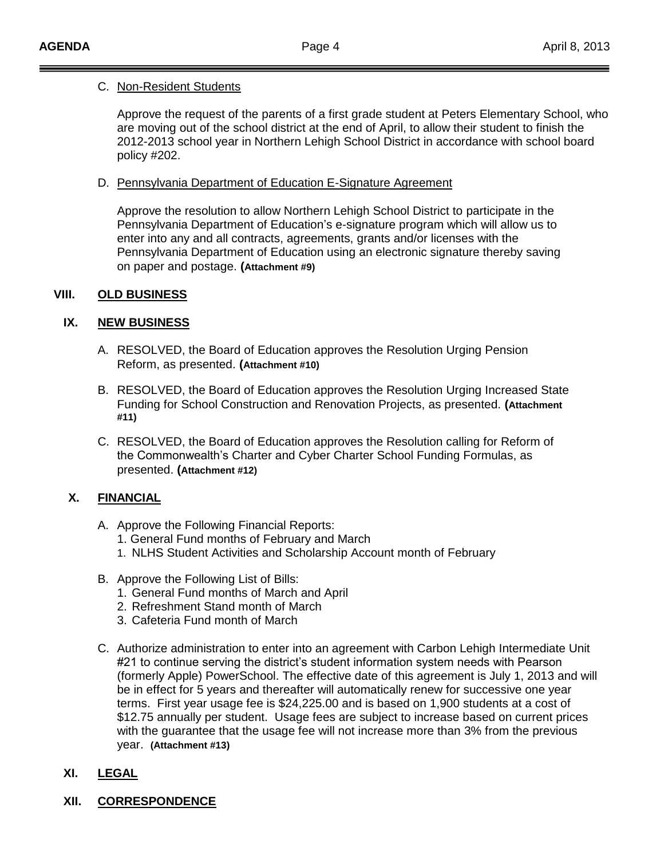#### C. Non-Resident Students

Approve the request of the parents of a first grade student at Peters Elementary School, who are moving out of the school district at the end of April, to allow their student to finish the 2012-2013 school year in Northern Lehigh School District in accordance with school board policy #202.

#### D. Pennsylvania Department of Education E-Signature Agreement

Approve the resolution to allow Northern Lehigh School District to participate in the Pennsylvania Department of Education's e-signature program which will allow us to enter into any and all contracts, agreements, grants and/or licenses with the Pennsylvania Department of Education using an electronic signature thereby saving on paper and postage. **(Attachment #9)**

# **VIII. OLD BUSINESS**

# **IX. NEW BUSINESS**

- A. RESOLVED, the Board of Education approves the Resolution Urging Pension Reform, as presented. **(Attachment #10)**
- B. RESOLVED, the Board of Education approves the Resolution Urging Increased State Funding for School Construction and Renovation Projects, as presented. **(Attachment #11)**
- C. RESOLVED, the Board of Education approves the Resolution calling for Reform of the Commonwealth's Charter and Cyber Charter School Funding Formulas, as presented. **(Attachment #12)**

# **X. FINANCIAL**

- A. Approve the Following Financial Reports:
	- 1. General Fund months of February and March
	- 1. NLHS Student Activities and Scholarship Account month of February
- B. Approve the Following List of Bills:
	- 1. General Fund months of March and April
	- 2. Refreshment Stand month of March
	- 3. Cafeteria Fund month of March
- C. Authorize administration to enter into an agreement with Carbon Lehigh Intermediate Unit #21 to continue serving the district's student information system needs with Pearson (formerly Apple) PowerSchool. The effective date of this agreement is July 1, 2013 and will be in effect for 5 years and thereafter will automatically renew for successive one year terms. First year usage fee is \$24,225.00 and is based on 1,900 students at a cost of \$12.75 annually per student. Usage fees are subject to increase based on current prices with the guarantee that the usage fee will not increase more than 3% from the previous year. **(Attachment #13)**

# **XI. LEGAL**

# **XII. CORRESPONDENCE**